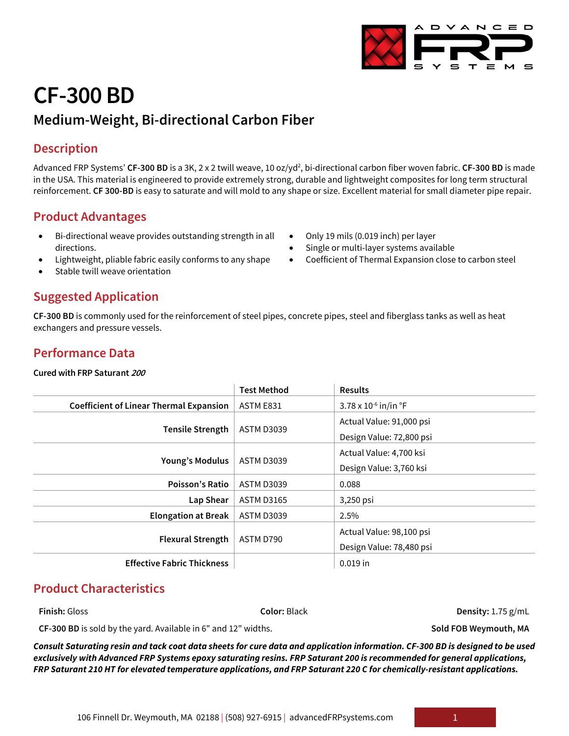# **CF-300 BD**

## **Medium-Weight, Bi-directional Carbon Fiber**

## **Description**

Advanced FRP Systems' **CF-300 BD** is a 3K, 2 x 2 twill weave, 10 oz/yd<sup>2</sup>, bi-directional carbon fiber woven fabric. **CF-300 BD** is made in the USA. This material is engineered to provide extremely strong, durable and lightweight composites for long term structural reinforcement. **CF 300-BD** is easy to saturate and will mold to any shape or size. Excellent material for small diameter pipe repair.

## **Product Advantages**

- Bi-directional weave provides outstanding strength in all directions.
- Lightweight, pliable fabric easily conforms to any shape
- Stable twill weave orientation

### **Suggested Application**

**CF-300 BD** is commonly used for the reinforcement of steel pipes, concrete pipes, steel and fiberglass tanks as well as heat exchangers and pressure vessels.

### **Performance Data**

**Cured with FRP Saturant <sup>200</sup>**

|                                                | <b>Test Method</b> | <b>Results</b>                      |
|------------------------------------------------|--------------------|-------------------------------------|
| <b>Coefficient of Linear Thermal Expansion</b> | ASTM E831          | 3.78 x $10^{-6}$ in/in $^{\circ}$ F |
| <b>Tensile Strength</b>                        | <b>ASTM D3039</b>  | Actual Value: 91,000 psi            |
|                                                |                    | Design Value: 72,800 psi            |
| <b>Young's Modulus</b>                         | <b>ASTM D3039</b>  | Actual Value: 4,700 ksi             |
|                                                |                    | Design Value: 3,760 ksi             |
| Poisson's Ratio                                | <b>ASTM D3039</b>  | 0.088                               |
| Lap Shear                                      | <b>ASTM D3165</b>  | 3,250 psi                           |
| <b>Elongation at Break</b>                     | <b>ASTM D3039</b>  | 2.5%                                |
| <b>Flexural Strength</b>                       | ASTM D790          | Actual Value: 98,100 psi            |
|                                                |                    | Design Value: 78,480 psi            |
| <b>Effective Fabric Thickness</b>              |                    | $0.019$ in                          |

## **Product Characteristics**

**CF-300 BD** is sold by the yard. Available in 6" and 12" widths. **Sold FOB Weymouth, MA**

*Consult Saturating resin and tack coat data sheets for cure data and application information. CF-300 BD is designed to be used exclusively with Advanced FRP Systems epoxy saturating resins. FRP Saturant 200 is recommended for general applications, FRP Saturant 210 HT for elevated temperature applications, and FRP Saturant 220 C for chemically-resistant applications.*

D V A N C E D

- Only 19 mils (0.019 inch) per layer
- Single or multi-layer systems available
- Coefficient of Thermal Expansion close to carbon steel

**Finish:** Gloss **Color:** Black **Density:** 1.75 g/mL